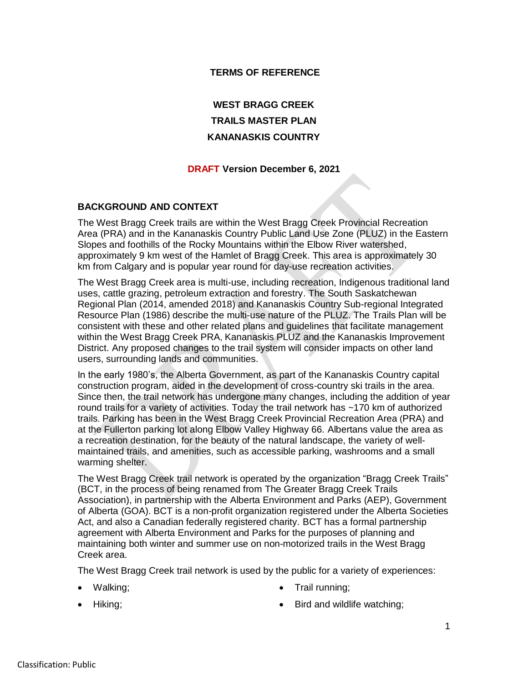## **TERMS OF REFERENCE**

# **WEST BRAGG CREEK TRAILS MASTER PLAN KANANASKIS COUNTRY**

#### **DRAFT Version December 6, 2021**

#### **BACKGROUND AND CONTEXT**

The West Bragg Creek trails are within the West Bragg Creek Provincial Recreation Area (PRA) and in the Kananaskis Country Public Land Use Zone (PLUZ) in the Eastern Slopes and foothills of the Rocky Mountains within the Elbow River watershed, approximately 9 km west of the Hamlet of Bragg Creek. This area is approximately 30 km from Calgary and is popular year round for day-use recreation activities.

The West Bragg Creek area is multi-use, including recreation, Indigenous traditional land uses, cattle grazing, petroleum extraction and forestry. The South Saskatchewan Regional Plan (2014, amended 2018) and Kananaskis Country Sub-regional Integrated Resource Plan (1986) describe the multi-use nature of the PLUZ. The Trails Plan will be consistent with these and other related plans and guidelines that facilitate management within the West Bragg Creek PRA, Kananaskis PLUZ and the Kananaskis Improvement District. Any proposed changes to the trail system will consider impacts on other land users, surrounding lands and communities.

In the early 1980's, the Alberta Government, as part of the Kananaskis Country capital construction program, aided in the development of cross-country ski trails in the area. Since then, the trail network has undergone many changes, including the addition of year round trails for a variety of activities. Today the trail network has ~170 km of authorized trails. Parking has been in the West Bragg Creek Provincial Recreation Area (PRA) and at the Fullerton parking lot along Elbow Valley Highway 66. Albertans value the area as a recreation destination, for the beauty of the natural landscape, the variety of wellmaintained trails, and amenities, such as accessible parking, washrooms and a small warming shelter.

The West Bragg Creek trail network is operated by the organization "Bragg Creek Trails" (BCT, in the process of being renamed from The Greater Bragg Creek Trails Association), in partnership with the Alberta Environment and Parks (AEP), Government of Alberta (GOA). BCT is a non-profit organization registered under the Alberta Societies Act, and also a Canadian federally registered charity. BCT has a formal partnership agreement with Alberta Environment and Parks for the purposes of planning and maintaining both winter and summer use on non-motorized trails in the West Bragg Creek area.

The West Bragg Creek trail network is used by the public for a variety of experiences:

• Walking;

• Trail running;

• Hiking;

• Bird and wildlife watching;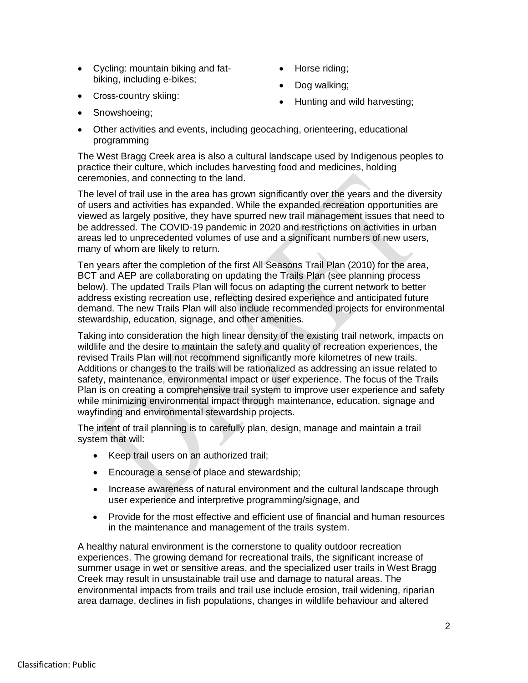- Cycling: mountain biking and fat- Horse riding; biking, including e-bikes;
	-
	- Dog walking;

• Cross-country skiing:

Hunting and wild harvesting;

- Snowshoeing;
- Other activities and events, including geocaching, orienteering, educational programming

The West Bragg Creek area is also a cultural landscape used by Indigenous peoples to practice their culture, which includes harvesting food and medicines, holding ceremonies, and connecting to the land.

The level of trail use in the area has grown significantly over the years and the diversity of users and activities has expanded. While the expanded recreation opportunities are viewed as largely positive, they have spurred new trail management issues that need to be addressed. The COVID-19 pandemic in 2020 and restrictions on activities in urban areas led to unprecedented volumes of use and a significant numbers of new users, many of whom are likely to return.

Ten years after the completion of the first All Seasons Trail Plan (2010) for the area, BCT and AEP are collaborating on updating the Trails Plan (see planning process below). The updated Trails Plan will focus on adapting the current network to better address existing recreation use, reflecting desired experience and anticipated future demand. The new Trails Plan will also include recommended projects for environmental stewardship, education, signage, and other amenities.

Taking into consideration the high linear density of the existing trail network, impacts on wildlife and the desire to maintain the safety and quality of recreation experiences, the revised Trails Plan will not recommend significantly more kilometres of new trails. Additions or changes to the trails will be rationalized as addressing an issue related to safety, maintenance, environmental impact or user experience. The focus of the Trails Plan is on creating a comprehensive trail system to improve user experience and safety while minimizing environmental impact through maintenance, education, signage and wayfinding and environmental stewardship projects.

The intent of trail planning is to carefully plan, design, manage and maintain a trail system that will:

- Keep trail users on an authorized trail;
- Encourage a sense of place and stewardship;
- Increase awareness of natural environment and the cultural landscape through user experience and interpretive programming/signage, and
- Provide for the most effective and efficient use of financial and human resources in the maintenance and management of the trails system.

A healthy natural environment is the cornerstone to quality outdoor recreation experiences. The growing demand for recreational trails, the significant increase of summer usage in wet or sensitive areas, and the specialized user trails in West Bragg Creek may result in unsustainable trail use and damage to natural areas. The environmental impacts from trails and trail use include erosion, trail widening, riparian area damage, declines in fish populations, changes in wildlife behaviour and altered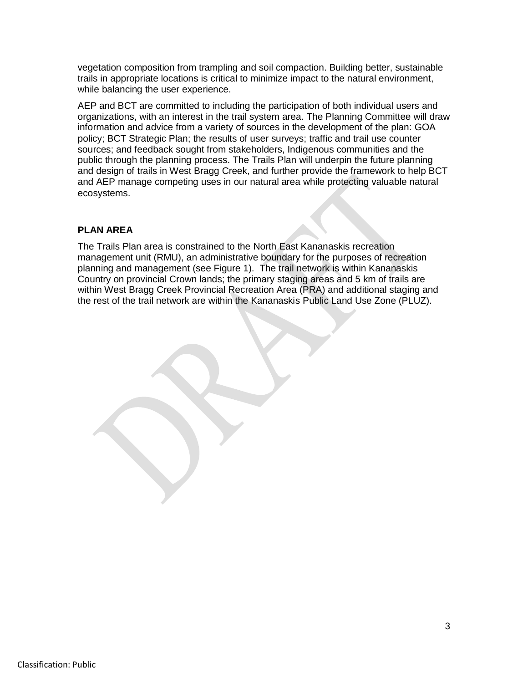vegetation composition from trampling and soil compaction. Building better, sustainable trails in appropriate locations is critical to minimize impact to the natural environment, while balancing the user experience.

AEP and BCT are committed to including the participation of both individual users and organizations, with an interest in the trail system area. The Planning Committee will draw information and advice from a variety of sources in the development of the plan: GOA policy; BCT Strategic Plan; the results of user surveys; traffic and trail use counter sources; and feedback sought from stakeholders, Indigenous communities and the public through the planning process. The Trails Plan will underpin the future planning and design of trails in West Bragg Creek, and further provide the framework to help BCT and AEP manage competing uses in our natural area while protecting valuable natural ecosystems.

## **PLAN AREA**

The Trails Plan area is constrained to the North East Kananaskis recreation management unit (RMU), an administrative boundary for the purposes of recreation planning and management (see [Figure 1\)](#page-3-0). The trail network is within Kananaskis Country on provincial Crown lands; the primary staging areas and 5 km of trails are within West Bragg Creek Provincial Recreation Area (PRA) and additional staging and the rest of the trail network are within the Kananaskis Public Land Use Zone (PLUZ).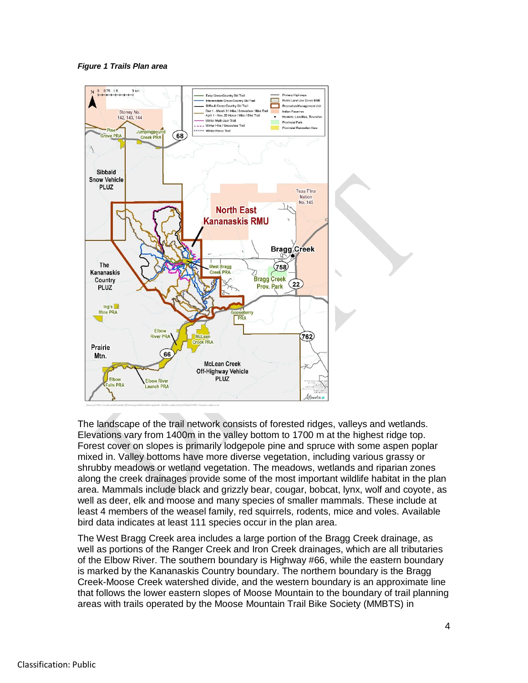<span id="page-3-0"></span>*Figure 1 Trails Plan area*



The landscape of the trail network consists of forested ridges, valleys and wetlands. Elevations vary from 1400m in the valley bottom to 1700 m at the highest ridge top. Forest cover on slopes is primarily lodgepole pine and spruce with some aspen poplar mixed in. Valley bottoms have more diverse vegetation, including various grassy or shrubby meadows or wetland vegetation. The meadows, wetlands and riparian zones along the creek drainages provide some of the most important wildlife habitat in the plan area. Mammals include black and grizzly bear, cougar, bobcat, lynx, wolf and coyote, as well as deer, elk and moose and many species of smaller mammals. These include at least 4 members of the weasel family, red squirrels, rodents, mice and voles. Available bird data indicates at least 111 species occur in the plan area.

The West Bragg Creek area includes a large portion of the Bragg Creek drainage, as well as portions of the Ranger Creek and Iron Creek drainages, which are all tributaries of the Elbow River. The southern boundary is Highway #66, while the eastern boundary is marked by the Kananaskis Country boundary. The northern boundary is the Bragg Creek-Moose Creek watershed divide, and the western boundary is an approximate line that follows the lower eastern slopes of Moose Mountain to the boundary of trail planning areas with trails operated by the Moose Mountain Trail Bike Society (MMBTS) in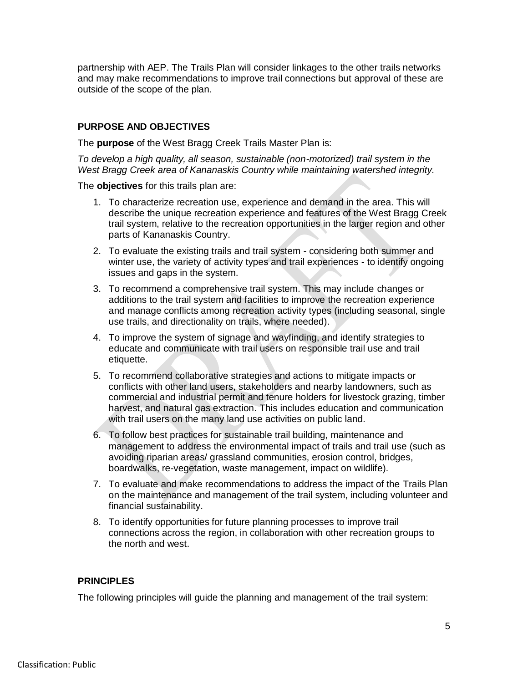partnership with AEP. The Trails Plan will consider linkages to the other trails networks and may make recommendations to improve trail connections but approval of these are outside of the scope of the plan.

## **PURPOSE AND OBJECTIVES**

The **purpose** of the West Bragg Creek Trails Master Plan is:

*To develop a high quality, all season, sustainable (non-motorized) trail system in the West Bragg Creek area of Kananaskis Country while maintaining watershed integrity.*

The **objectives** for this trails plan are:

- 1. To characterize recreation use, experience and demand in the area. This will describe the unique recreation experience and features of the West Bragg Creek trail system, relative to the recreation opportunities in the larger region and other parts of Kananaskis Country.
- 2. To evaluate the existing trails and trail system considering both summer and winter use, the variety of activity types and trail experiences - to identify ongoing issues and gaps in the system.
- 3. To recommend a comprehensive trail system. This may include changes or additions to the trail system and facilities to improve the recreation experience and manage conflicts among recreation activity types (including seasonal, single use trails, and directionality on trails, where needed).
- 4. To improve the system of signage and wayfinding, and identify strategies to educate and communicate with trail users on responsible trail use and trail etiquette.
- 5. To recommend collaborative strategies and actions to mitigate impacts or conflicts with other land users, stakeholders and nearby landowners, such as commercial and industrial permit and tenure holders for livestock grazing, timber harvest, and natural gas extraction. This includes education and communication with trail users on the many land use activities on public land.
- 6. To follow best practices for sustainable trail building, maintenance and management to address the environmental impact of trails and trail use (such as avoiding riparian areas/ grassland communities, erosion control, bridges, boardwalks, re-vegetation, waste management, impact on wildlife).
- 7. To evaluate and make recommendations to address the impact of the Trails Plan on the maintenance and management of the trail system, including volunteer and financial sustainability.
- 8. To identify opportunities for future planning processes to improve trail connections across the region, in collaboration with other recreation groups to the north and west.

## **PRINCIPLES**

The following principles will guide the planning and management of the trail system: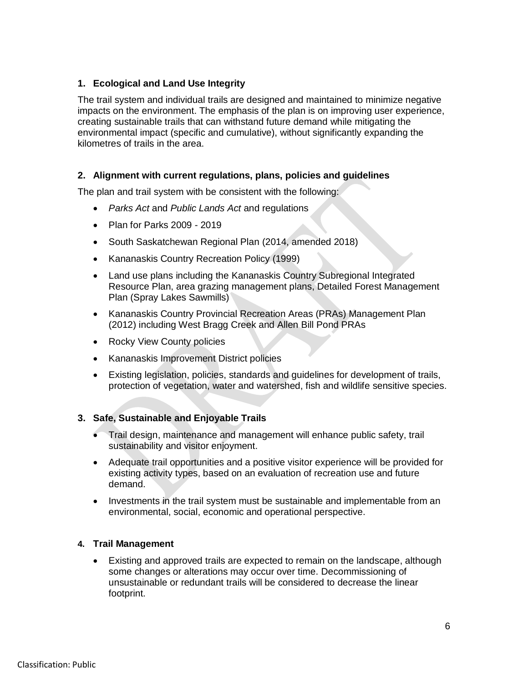# **1. Ecological and Land Use Integrity**

The trail system and individual trails are designed and maintained to minimize negative impacts on the environment. The emphasis of the plan is on improving user experience, creating sustainable trails that can withstand future demand while mitigating the environmental impact (specific and cumulative), without significantly expanding the kilometres of trails in the area.

# **2. Alignment with current regulations, plans, policies and guidelines**

The plan and trail system with be consistent with the following:

- *Parks Act* and *Public Lands Act* and regulations
- Plan for Parks 2009 2019
- South Saskatchewan Regional Plan (2014, amended 2018)
- Kananaskis Country Recreation Policy (1999)
- Land use plans including the Kananaskis Country Subregional Integrated Resource Plan, area grazing management plans, Detailed Forest Management Plan (Spray Lakes Sawmills)
- Kananaskis Country Provincial Recreation Areas (PRAs) Management Plan (2012) including West Bragg Creek and Allen Bill Pond PRAs
- Rocky View County policies
- Kananaskis Improvement District policies
- Existing legislation, policies, standards and guidelines for development of trails, protection of vegetation, water and watershed, fish and wildlife sensitive species.

# **3. Safe, Sustainable and Enjoyable Trails**

- Trail design, maintenance and management will enhance public safety, trail sustainability and visitor enjoyment.
- Adequate trail opportunities and a positive visitor experience will be provided for existing activity types, based on an evaluation of recreation use and future demand.
- Investments in the trail system must be sustainable and implementable from an environmental, social, economic and operational perspective.

## **4. Trail Management**

 Existing and approved trails are expected to remain on the landscape, although some changes or alterations may occur over time. Decommissioning of unsustainable or redundant trails will be considered to decrease the linear footprint.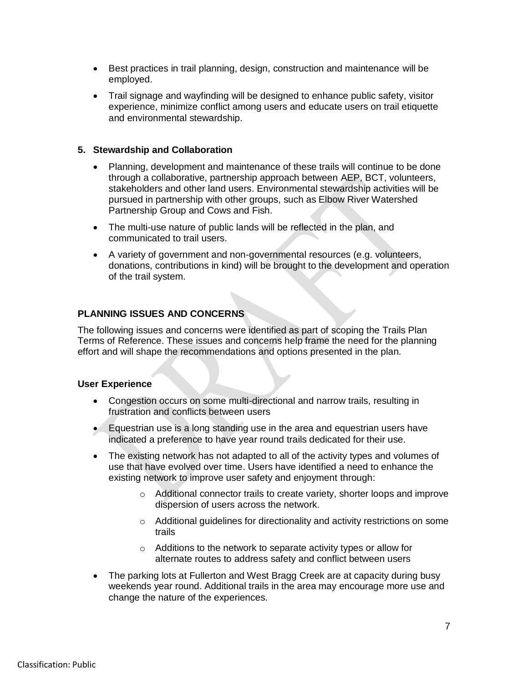- Best practices in trail planning, design, construction and maintenance will be employed.
- Trail signage and wayfinding will be designed to enhance public safety, visitor experience, minimize conflict among users and educate users on trail etiquette and environmental stewardship.

## **5. Stewardship and Collaboration**

- Planning, development and maintenance of these trails will continue to be done through a collaborative, partnership approach between AEP, BCT, volunteers, stakeholders and other land users. Environmental stewardship activities will be pursued in partnership with other groups, such as Elbow River Watershed Partnership Group and Cows and Fish.
- The multi-use nature of public lands will be reflected in the plan, and communicated to trail users.
- A variety of government and non-governmental resources (e.g. volunteers, donations, contributions in kind) will be brought to the development and operation of the trail system.

## **PLANNING ISSUES AND CONCERNS**

The following issues and concerns were identified as part of scoping the Trails Plan Terms of Reference. These issues and concerns help frame the need for the planning effort and will shape the recommendations and options presented in the plan.

#### **User Experience**

- Congestion occurs on some multi-directional and narrow trails, resulting in frustration and conflicts between users
- Equestrian use is a long standing use in the area and equestrian users have indicated a preference to have year round trails dedicated for their use.
- The existing network has not adapted to all of the activity types and volumes of use that have evolved over time. Users have identified a need to enhance the existing network to improve user safety and enjoyment through:
	- o Additional connector trails to create variety, shorter loops and improve dispersion of users across the network.
	- $\circ$  Additional guidelines for directionality and activity restrictions on some trails
	- o Additions to the network to separate activity types or allow for alternate routes to address safety and conflict between users
- The parking lots at Fullerton and West Bragg Creek are at capacity during busy weekends year round. Additional trails in the area may encourage more use and change the nature of the experiences.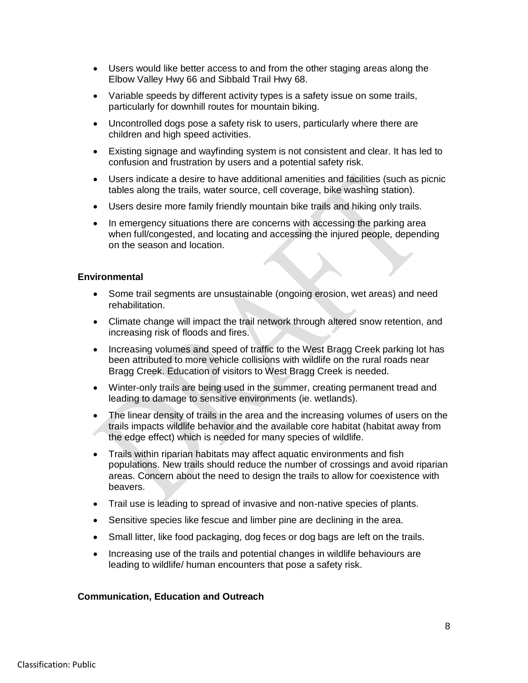- Users would like better access to and from the other staging areas along the Elbow Valley Hwy 66 and Sibbald Trail Hwy 68.
- Variable speeds by different activity types is a safety issue on some trails, particularly for downhill routes for mountain biking.
- Uncontrolled dogs pose a safety risk to users, particularly where there are children and high speed activities.
- Existing signage and wayfinding system is not consistent and clear. It has led to confusion and frustration by users and a potential safety risk.
- Users indicate a desire to have additional amenities and facilities (such as picnic tables along the trails, water source, cell coverage, bike washing station).
- Users desire more family friendly mountain bike trails and hiking only trails.
- In emergency situations there are concerns with accessing the parking area when full/congested, and locating and accessing the injured people, depending on the season and location.

#### **Environmental**

- Some trail segments are unsustainable (ongoing erosion, wet areas) and need rehabilitation.
- Climate change will impact the trail network through altered snow retention, and increasing risk of floods and fires.
- Increasing volumes and speed of traffic to the West Bragg Creek parking lot has been attributed to more vehicle collisions with wildlife on the rural roads near Bragg Creek. Education of visitors to West Bragg Creek is needed.
- Winter-only trails are being used in the summer, creating permanent tread and leading to damage to sensitive environments (ie. wetlands).
- The linear density of trails in the area and the increasing volumes of users on the trails impacts wildlife behavior and the available core habitat (habitat away from the edge effect) which is needed for many species of wildlife.
- Trails within riparian habitats may affect aquatic environments and fish populations. New trails should reduce the number of crossings and avoid riparian areas. Concern about the need to design the trails to allow for coexistence with beavers.
- Trail use is leading to spread of invasive and non-native species of plants.
- Sensitive species like fescue and limber pine are declining in the area.
- Small litter, like food packaging, dog feces or dog bags are left on the trails.
- Increasing use of the trails and potential changes in wildlife behaviours are leading to wildlife/ human encounters that pose a safety risk.

#### **Communication, Education and Outreach**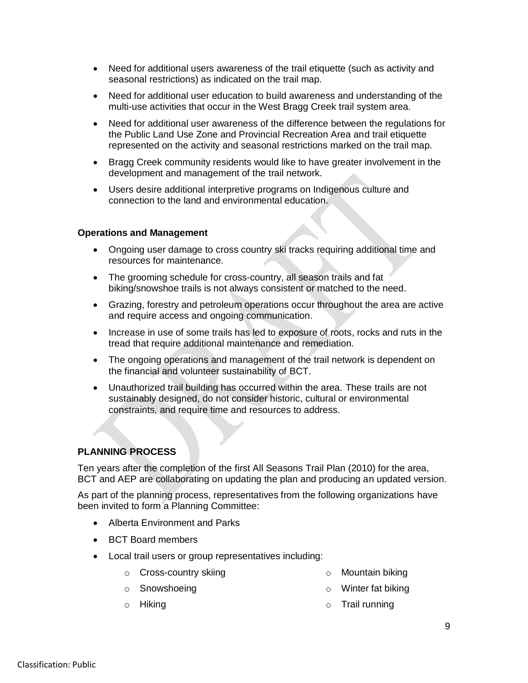- Need for additional users awareness of the trail etiquette (such as activity and seasonal restrictions) as indicated on the trail map.
- Need for additional user education to build awareness and understanding of the multi-use activities that occur in the West Bragg Creek trail system area.
- Need for additional user awareness of the difference between the regulations for the Public Land Use Zone and Provincial Recreation Area and trail etiquette represented on the activity and seasonal restrictions marked on the trail map.
- Bragg Creek community residents would like to have greater involvement in the development and management of the trail network.
- Users desire additional interpretive programs on Indigenous culture and connection to the land and environmental education.

#### **Operations and Management**

- Ongoing user damage to cross country ski tracks requiring additional time and resources for maintenance.
- The grooming schedule for cross-country, all season trails and fat biking/snowshoe trails is not always consistent or matched to the need.
- Grazing, forestry and petroleum operations occur throughout the area are active and require access and ongoing communication.
- Increase in use of some trails has led to exposure of roots, rocks and ruts in the tread that require additional maintenance and remediation.
- The ongoing operations and management of the trail network is dependent on the financial and volunteer sustainability of BCT.
- Unauthorized trail building has occurred within the area. These trails are not sustainably designed, do not consider historic, cultural or environmental constraints, and require time and resources to address.

# **PLANNING PROCESS**

Ten years after the completion of the first All Seasons Trail Plan (2010) for the area, BCT and AEP are collaborating on updating the plan and producing an updated version.

As part of the planning process, representatives from the following organizations have been invited to form a Planning Committee:

- Alberta Environment and Parks
- BCT Board members
- Local trail users or group representatives including:
	- o Cross-country skiing

o Mountain biking

o Winter fat biking

- o Snowshoeing
- o Hiking

o Trail running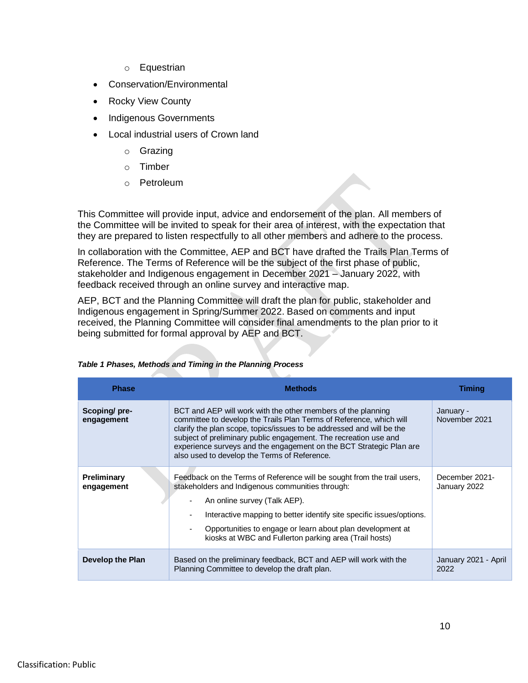- o Equestrian
- Conservation/Environmental
- Rocky View County
- Indigenous Governments
- Local industrial users of Crown land
	- o Grazing
	- o Timber
	- o Petroleum

This Committee will provide input, advice and endorsement of the plan. All members of the Committee will be invited to speak for their area of interest, with the expectation that they are prepared to listen respectfully to all other members and adhere to the process.

In collaboration with the Committee, AEP and BCT have drafted the Trails Plan Terms of Reference. The Terms of Reference will be the subject of the first phase of public, stakeholder and Indigenous engagement in December 2021 – January 2022, with feedback received through an online survey and interactive map.

AEP, BCT and the Planning Committee will draft the plan for public, stakeholder and Indigenous engagement in Spring/Summer 2022. Based on comments and input received, the Planning Committee will consider final amendments to the plan prior to it being submitted for formal approval by AEP and BCT.

| <b>Phase</b>               | <b>Methods</b>                                                                                                                                                                                                                                                                                                                                                                                          | Timing                         |
|----------------------------|---------------------------------------------------------------------------------------------------------------------------------------------------------------------------------------------------------------------------------------------------------------------------------------------------------------------------------------------------------------------------------------------------------|--------------------------------|
| Scoping/pre-<br>engagement | BCT and AEP will work with the other members of the planning<br>committee to develop the Trails Plan Terms of Reference, which will<br>clarify the plan scope, topics/issues to be addressed and will be the<br>subject of preliminary public engagement. The recreation use and<br>experience surveys and the engagement on the BCT Strategic Plan are<br>also used to develop the Terms of Reference. | January -<br>November 2021     |
| Preliminary<br>engagement  | Feedback on the Terms of Reference will be sought from the trail users,<br>stakeholders and Indigenous communities through:<br>An online survey (Talk AEP).<br>Interactive mapping to better identify site specific issues/options.<br>Opportunities to engage or learn about plan development at<br>kiosks at WBC and Fullerton parking area (Trail hosts)                                             | December 2021-<br>January 2022 |
| Develop the Plan           | Based on the preliminary feedback, BCT and AEP will work with the<br>Planning Committee to develop the draft plan.                                                                                                                                                                                                                                                                                      | January 2021 - April<br>2022   |

| Table 1 Phases, Methods and Timing in the Planning Process |  |  |  |
|------------------------------------------------------------|--|--|--|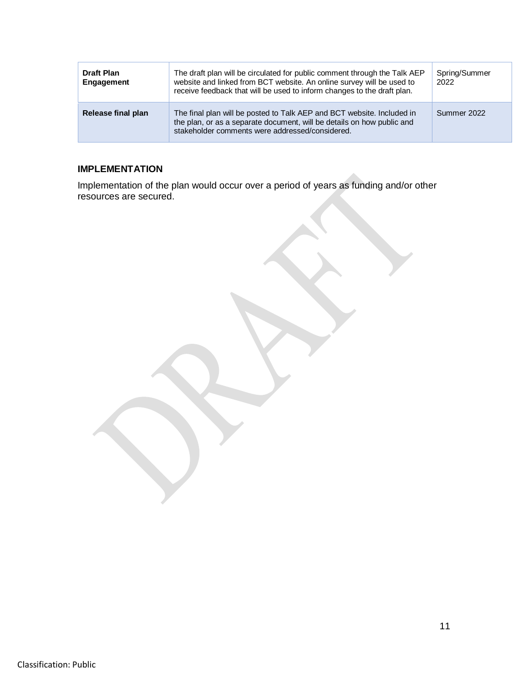| <b>Draft Plan</b><br>Engagement | The draft plan will be circulated for public comment through the Talk AEP<br>website and linked from BCT website. An online survey will be used to<br>receive feedback that will be used to inform changes to the draft plan. | Spring/Summer<br>2022 |
|---------------------------------|-------------------------------------------------------------------------------------------------------------------------------------------------------------------------------------------------------------------------------|-----------------------|
| Release final plan              | The final plan will be posted to Talk AEP and BCT website. Included in<br>the plan, or as a separate document, will be details on how public and<br>stakeholder comments were addressed/considered.                           | Summer 2022           |

# **IMPLEMENTATION**

Implementation of the plan would occur over a period of years as funding and/or other resources are secured.